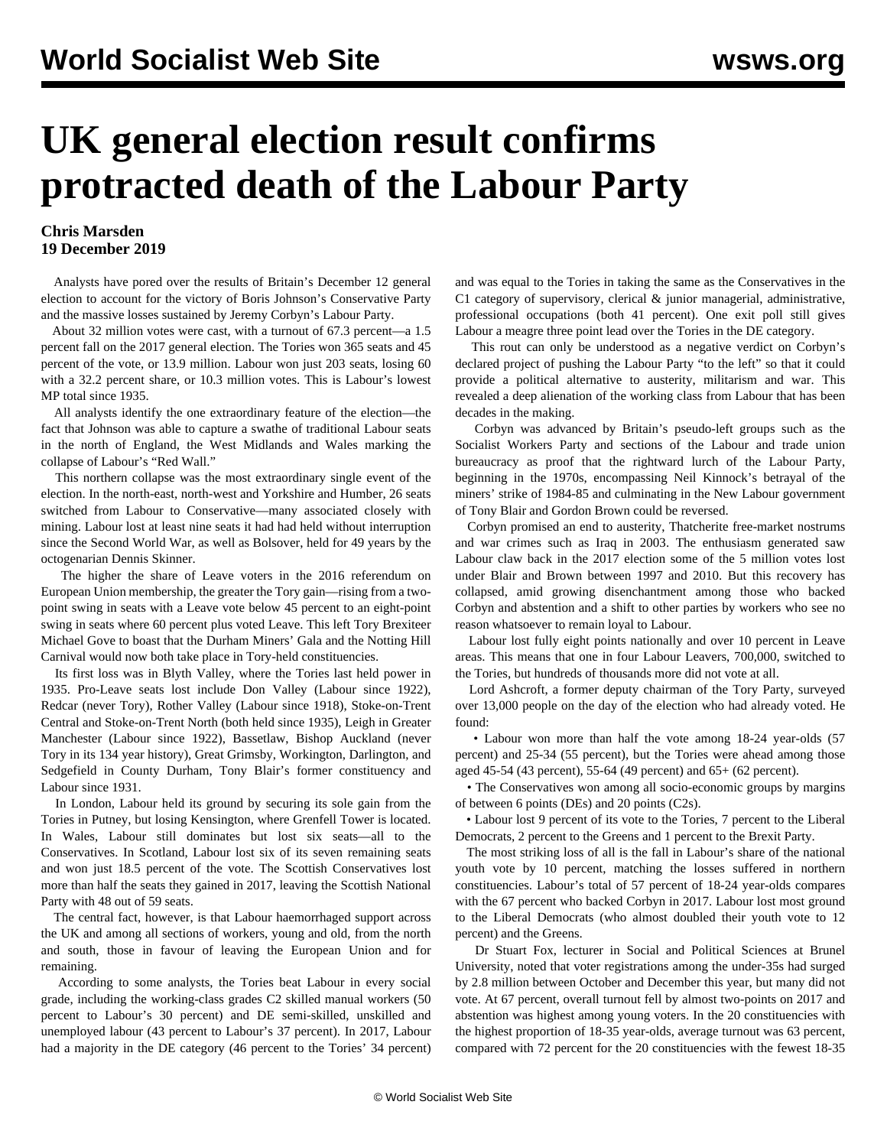## **UK general election result confirms protracted death of the Labour Party**

## **Chris Marsden 19 December 2019**

 Analysts have pored over the results of Britain's December 12 general election to account for the victory of Boris Johnson's Conservative Party and the massive losses sustained by Jeremy Corbyn's Labour Party.

 About 32 million votes were cast, with a turnout of 67.3 percent—a 1.5 percent fall on the 2017 general election. The Tories won 365 seats and 45 percent of the vote, or 13.9 million. Labour won just 203 seats, losing 60 with a 32.2 percent share, or 10.3 million votes. This is Labour's lowest MP total since 1935.

 All analysts identify the one extraordinary feature of the election—the fact that Johnson was able to capture a swathe of traditional Labour seats in the north of England, the West Midlands and Wales marking the collapse of Labour's "Red Wall."

 This northern collapse was the most extraordinary single event of the election. In the north-east, north-west and Yorkshire and Humber, 26 seats switched from Labour to Conservative—many associated closely with mining. Labour lost at least nine seats it had had held without interruption since the Second World War, as well as Bolsover, held for 49 years by the octogenarian Dennis Skinner.

 The higher the share of Leave voters in the 2016 referendum on European Union membership, the greater the Tory gain—rising from a twopoint swing in seats with a Leave vote below 45 percent to an eight-point swing in seats where 60 percent plus voted Leave. This left Tory Brexiteer Michael Gove to boast that the Durham Miners' Gala and the Notting Hill Carnival would now both take place in Tory-held constituencies.

 Its first loss was in Blyth Valley, where the Tories last held power in 1935. Pro-Leave seats lost include Don Valley (Labour since 1922), Redcar (never Tory), Rother Valley (Labour since 1918), Stoke-on-Trent Central and Stoke-on-Trent North (both held since 1935), Leigh in Greater Manchester (Labour since 1922), Bassetlaw, Bishop Auckland (never Tory in its 134 year history), Great Grimsby, Workington, Darlington, and Sedgefield in County Durham, Tony Blair's former constituency and Labour since 1931.

 In London, Labour held its ground by securing its sole gain from the Tories in Putney, but losing Kensington, where Grenfell Tower is located. In Wales, Labour still dominates but lost six seats—all to the Conservatives. In Scotland, Labour lost six of its seven remaining seats and won just 18.5 percent of the vote. The Scottish Conservatives lost more than half the seats they gained in 2017, leaving the Scottish National Party with 48 out of 59 seats.

 The central fact, however, is that Labour haemorrhaged support across the UK and among all sections of workers, young and old, from the north and south, those in favour of leaving the European Union and for remaining.

 According to some analysts, the Tories beat Labour in every social grade, including the working-class grades C2 skilled manual workers (50 percent to Labour's 30 percent) and DE semi-skilled, unskilled and unemployed labour (43 percent to Labour's 37 percent). In 2017, Labour had a majority in the DE category (46 percent to the Tories' 34 percent)

and was equal to the Tories in taking the same as the Conservatives in the C1 category of supervisory, clerical  $\&$  junior managerial, administrative, professional occupations (both 41 percent). One exit poll still gives Labour a meagre three point lead over the Tories in the DE category.

 This rout can only be understood as a negative verdict on Corbyn's declared project of pushing the Labour Party "to the left" so that it could provide a political alternative to austerity, militarism and war. This revealed a deep alienation of the working class from Labour that has been decades in the making.

 Corbyn was advanced by Britain's pseudo-left groups such as the Socialist Workers Party and sections of the Labour and trade union bureaucracy as proof that the rightward lurch of the Labour Party, beginning in the 1970s, encompassing Neil Kinnock's betrayal of the miners' strike of 1984-85 and culminating in the New Labour government of Tony Blair and Gordon Brown could be reversed.

 Corbyn promised an end to austerity, Thatcherite free-market nostrums and war crimes such as Iraq in 2003. The enthusiasm generated saw Labour claw back in the 2017 election some of the 5 million votes lost under Blair and Brown between 1997 and 2010. But this recovery has collapsed, amid growing disenchantment among those who backed Corbyn and abstention and a shift to other parties by workers who see no reason whatsoever to remain loyal to Labour.

 Labour lost fully eight points nationally and over 10 percent in Leave areas. This means that one in four Labour Leavers, 700,000, switched to the Tories, but hundreds of thousands more did not vote at all.

 Lord Ashcroft, a former deputy chairman of the Tory Party, surveyed over 13,000 people on the day of the election who had already voted. He found:

 • Labour won more than half the vote among 18-24 year-olds (57 percent) and 25-34 (55 percent), but the Tories were ahead among those aged 45-54 (43 percent), 55-64 (49 percent) and 65+ (62 percent).

 • The Conservatives won among all socio-economic groups by margins of between 6 points (DEs) and 20 points (C2s).

 • Labour lost 9 percent of its vote to the Tories, 7 percent to the Liberal Democrats, 2 percent to the Greens and 1 percent to the Brexit Party.

 The most striking loss of all is the fall in Labour's share of the national youth vote by 10 percent, matching the losses suffered in northern constituencies. Labour's total of 57 percent of 18-24 year-olds compares with the 67 percent who backed Corbyn in 2017. Labour lost most ground to the Liberal Democrats (who almost doubled their youth vote to 12 percent) and the Greens.

 Dr Stuart Fox, lecturer in Social and Political Sciences at Brunel University, noted that voter registrations among the under-35s had surged by 2.8 million between October and December this year, but many did not vote. At 67 percent, overall turnout fell by almost two-points on 2017 and abstention was highest among young voters. In the 20 constituencies with the highest proportion of 18-35 year-olds, average turnout was 63 percent, compared with 72 percent for the 20 constituencies with the fewest 18-35